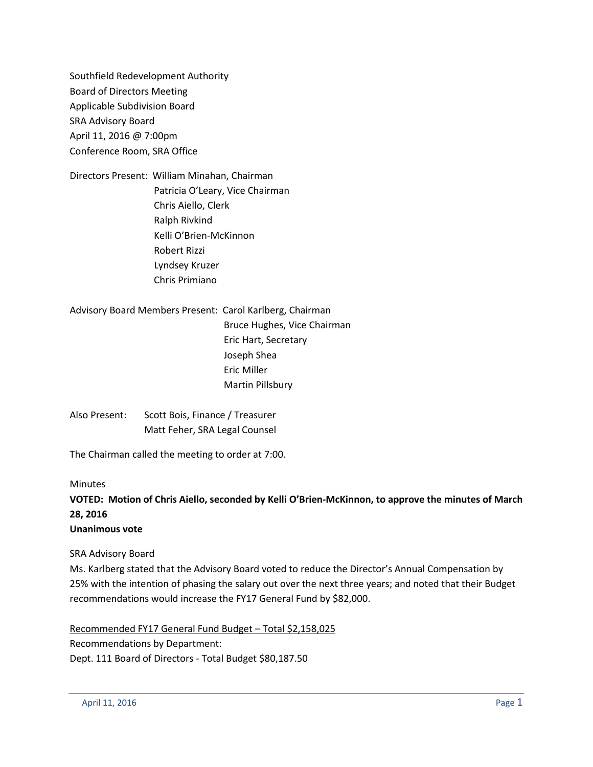Southfield Redevelopment Authority Board of Directors Meeting Applicable Subdivision Board SRA Advisory Board April 11, 2016 @ 7:00pm Conference Room, SRA Office

Directors Present: William Minahan, Chairman Patricia O'Leary, Vice Chairman Chris Aiello, Clerk Ralph Rivkind Kelli O'Brien-McKinnon Robert Rizzi Lyndsey Kruzer Chris Primiano

Advisory Board Members Present: Carol Karlberg, Chairman Bruce Hughes, Vice Chairman Eric Hart, Secretary Joseph Shea Eric Miller Martin Pillsbury

Also Present: Scott Bois, Finance / Treasurer Matt Feher, SRA Legal Counsel

The Chairman called the meeting to order at 7:00.

### Minutes

**VOTED: Motion of Chris Aiello, seconded by Kelli O'Brien-McKinnon, to approve the minutes of March 28, 2016** 

## **Unanimous vote**

### SRA Advisory Board

Ms. Karlberg stated that the Advisory Board voted to reduce the Director's Annual Compensation by 25% with the intention of phasing the salary out over the next three years; and noted that their Budget recommendations would increase the FY17 General Fund by \$82,000.

Recommended FY17 General Fund Budget – Total \$2,158,025 Recommendations by Department: Dept. 111 Board of Directors - Total Budget \$80,187.50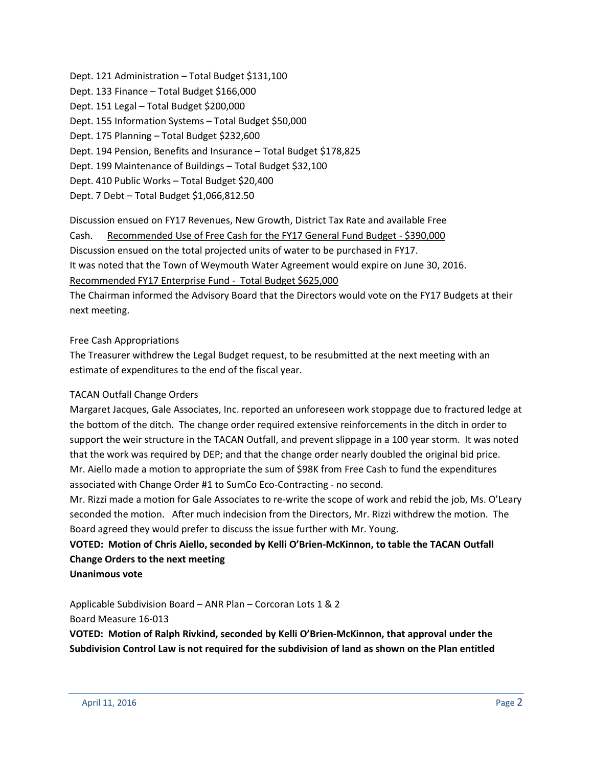Dept. 121 Administration – Total Budget \$131,100 Dept. 133 Finance – Total Budget \$166,000 Dept. 151 Legal – Total Budget \$200,000 Dept. 155 Information Systems – Total Budget \$50,000 Dept. 175 Planning – Total Budget \$232,600 Dept. 194 Pension, Benefits and Insurance – Total Budget \$178,825 Dept. 199 Maintenance of Buildings – Total Budget \$32,100 Dept. 410 Public Works – Total Budget \$20,400 Dept. 7 Debt – Total Budget \$1,066,812.50

Discussion ensued on FY17 Revenues, New Growth, District Tax Rate and available Free

Cash. Recommended Use of Free Cash for the FY17 General Fund Budget - \$390,000 Discussion ensued on the total projected units of water to be purchased in FY17. It was noted that the Town of Weymouth Water Agreement would expire on June 30, 2016. Recommended FY17 Enterprise Fund - Total Budget \$625,000 The Chairman informed the Advisory Board that the Directors would vote on the FY17 Budgets at their next meeting.

## Free Cash Appropriations

The Treasurer withdrew the Legal Budget request, to be resubmitted at the next meeting with an estimate of expenditures to the end of the fiscal year.

## TACAN Outfall Change Orders

Margaret Jacques, Gale Associates, Inc. reported an unforeseen work stoppage due to fractured ledge at the bottom of the ditch. The change order required extensive reinforcements in the ditch in order to support the weir structure in the TACAN Outfall, and prevent slippage in a 100 year storm. It was noted that the work was required by DEP; and that the change order nearly doubled the original bid price. Mr. Aiello made a motion to appropriate the sum of \$98K from Free Cash to fund the expenditures associated with Change Order #1 to SumCo Eco-Contracting - no second.

Mr. Rizzi made a motion for Gale Associates to re-write the scope of work and rebid the job, Ms. O'Leary seconded the motion. After much indecision from the Directors, Mr. Rizzi withdrew the motion. The Board agreed they would prefer to discuss the issue further with Mr. Young.

# **VOTED: Motion of Chris Aiello, seconded by Kelli O'Brien-McKinnon, to table the TACAN Outfall Change Orders to the next meeting**

**Unanimous vote**

Applicable Subdivision Board – ANR Plan – Corcoran Lots 1 & 2

Board Measure 16-013

**VOTED: Motion of Ralph Rivkind, seconded by Kelli O'Brien-McKinnon, that approval under the Subdivision Control Law is not required for the subdivision of land as shown on the Plan entitled**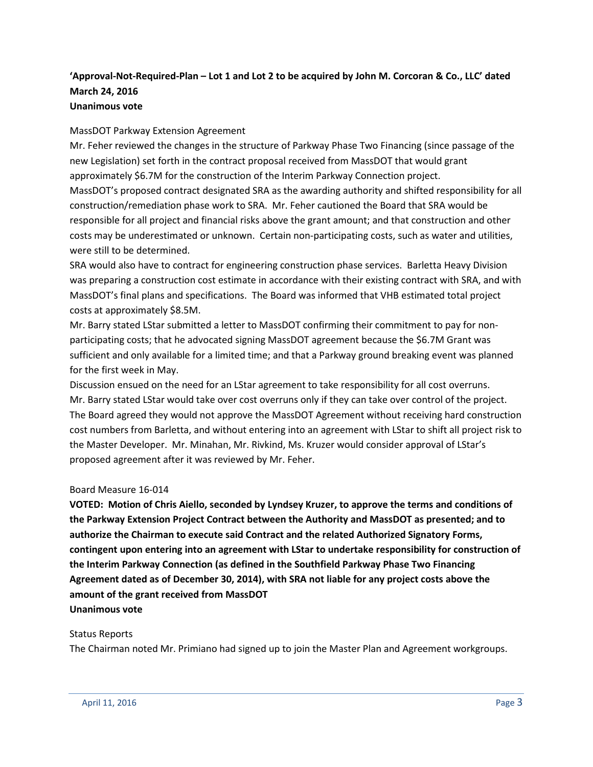## **'Approval-Not-Required-Plan – Lot 1 and Lot 2 to be acquired by John M. Corcoran & Co., LLC' dated March 24, 2016 Unanimous vote**

# MassDOT Parkway Extension Agreement

Mr. Feher reviewed the changes in the structure of Parkway Phase Two Financing (since passage of the new Legislation) set forth in the contract proposal received from MassDOT that would grant approximately \$6.7M for the construction of the Interim Parkway Connection project. MassDOT's proposed contract designated SRA as the awarding authority and shifted responsibility for all construction/remediation phase work to SRA. Mr. Feher cautioned the Board that SRA would be responsible for all project and financial risks above the grant amount; and that construction and other costs may be underestimated or unknown. Certain non-participating costs, such as water and utilities, were still to be determined.

SRA would also have to contract for engineering construction phase services. Barletta Heavy Division was preparing a construction cost estimate in accordance with their existing contract with SRA, and with MassDOT's final plans and specifications. The Board was informed that VHB estimated total project costs at approximately \$8.5M.

Mr. Barry stated LStar submitted a letter to MassDOT confirming their commitment to pay for nonparticipating costs; that he advocated signing MassDOT agreement because the \$6.7M Grant was sufficient and only available for a limited time; and that a Parkway ground breaking event was planned for the first week in May.

Discussion ensued on the need for an LStar agreement to take responsibility for all cost overruns. Mr. Barry stated LStar would take over cost overruns only if they can take over control of the project. The Board agreed they would not approve the MassDOT Agreement without receiving hard construction cost numbers from Barletta, and without entering into an agreement with LStar to shift all project risk to the Master Developer. Mr. Minahan, Mr. Rivkind, Ms. Kruzer would consider approval of LStar's proposed agreement after it was reviewed by Mr. Feher.

### Board Measure 16-014

**VOTED: Motion of Chris Aiello, seconded by Lyndsey Kruzer, to approve the terms and conditions of the Parkway Extension Project Contract between the Authority and MassDOT as presented; and to authorize the Chairman to execute said Contract and the related Authorized Signatory Forms, contingent upon entering into an agreement with LStar to undertake responsibility for construction of the Interim Parkway Connection (as defined in the Southfield Parkway Phase Two Financing Agreement dated as of December 30, 2014), with SRA not liable for any project costs above the amount of the grant received from MassDOT Unanimous vote**

### Status Reports

The Chairman noted Mr. Primiano had signed up to join the Master Plan and Agreement workgroups.